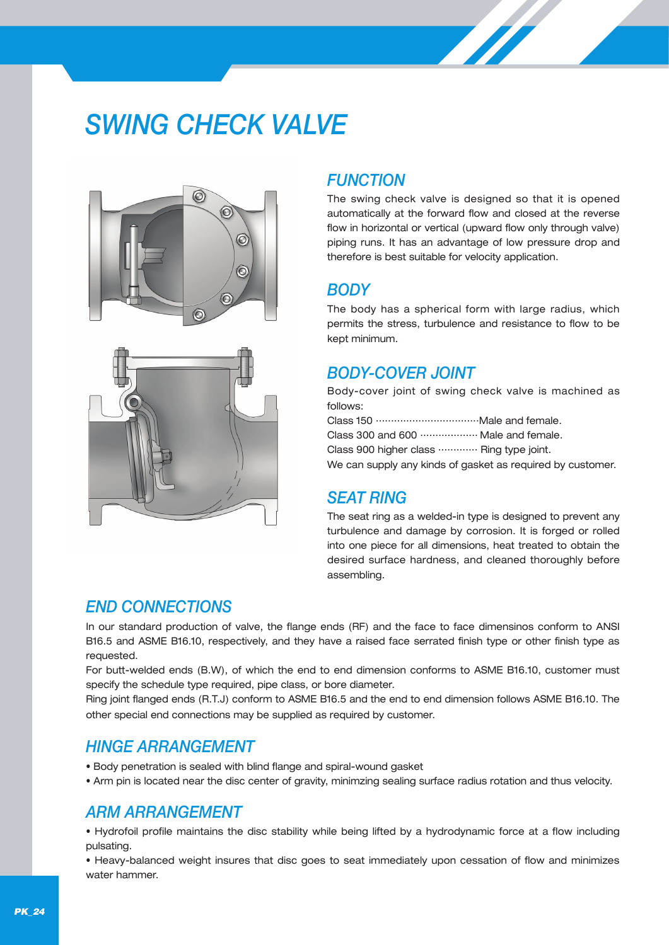# *SWING CHECK VALVE*





## *FUNCTION*

The swing check valve is designed so that it is opened automatically at the forward flow and closed at the reverse flow in horizontal or vertical (upward flow only through valve) piping runs. It has an advantage of low pressure drop and therefore is best suitable for velocity application.

## *BODY*

The body has a spherical form with large radius, which permits the stress, turbulence and resistance to flow to be kept minimum.

## *BODY-COVER JOINT*

Body-cover joint of swing check valve is machined as follows:

| Class 300 and 600  Male and female.                        |
|------------------------------------------------------------|
| Class 900 higher class  Ring type joint.                   |
| We can supply any kinds of gasket as required by customer. |

# *SEAT RING*

The seat ring as a welded-in type is designed to prevent any turbulence and damage by corrosion. It is forged or rolled into one piece for all dimensions, heat treated to obtain the desired surface hardness, and cleaned thoroughly before assembling.

# *END CONNECTIONS*

In our standard production of valve, the flange ends (RF) and the face to face dimensinos conform to ANSI B16.5 and ASME B16.10, respectively, and they have a raised face serrated finish type or other finish type as requested.

For butt-welded ends (B.W), of which the end to end dimension conforms to ASME B16.10, customer must specify the schedule type required, pipe class, or bore diameter.

Ring joint flanged ends (R.T.J) conform to ASME B16.5 and the end to end dimension follows ASME B16.10. The other special end connections may be supplied as required by customer.

## *HINGE ARRANGEMENT*

- Body penetration is sealed with blind flange and spiral-wound gasket
- Arm pin is located near the disc center of gravity, minimzing sealing surface radius rotation and thus velocity.

# *ARM ARRANGEMENT*

• Hydrofoil profile maintains the disc stability while being lifted by a hydrodynamic force at a flow including pulsating.

• Heavy-balanced weight insures that disc goes to seat immediately upon cessation of flow and minimizes water hammer.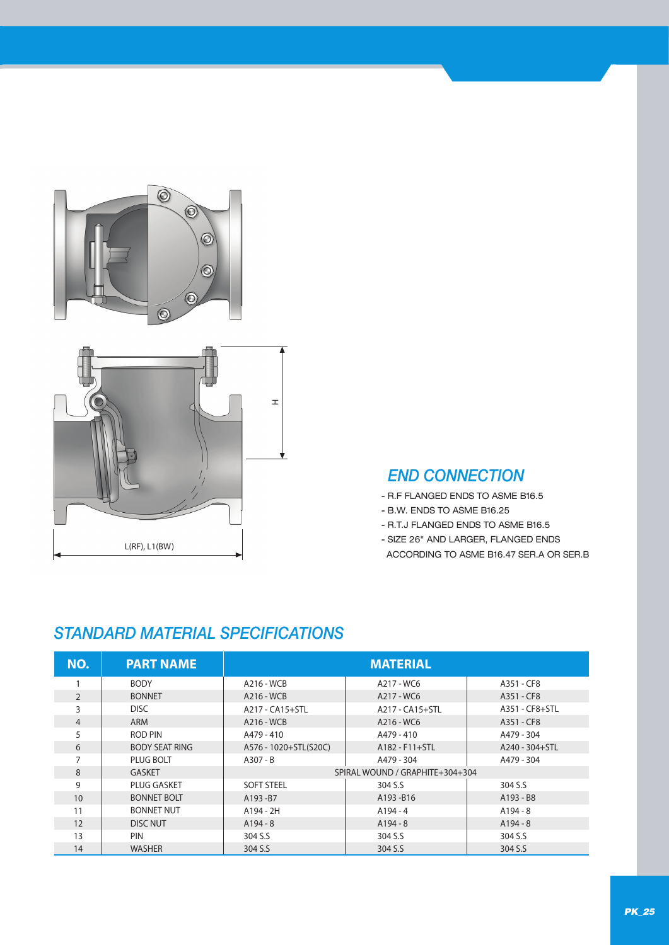



## *END CONNECTION*

- R.F FLANGED ENDS TO ASME B16.5
- B.W. ENDS TO ASME B16.25
- R.T.J FLANGED ENDS TO ASME B16.5
- SIZE 26" AND LARGER, FLANGED ENDS
- ACCORDING TO ASME B16.47 SER.A OR SER.B

# *STANDARD MATERIAL SPECIFICATIONS*

| NO.            | <b>PART NAME</b>      | <b>MATERIAL</b>       |                                 |                |  |  |  |  |  |  |
|----------------|-----------------------|-----------------------|---------------------------------|----------------|--|--|--|--|--|--|
|                | <b>BODY</b>           | A216 - WCB            | A217 - WC6                      | A351 - CF8     |  |  |  |  |  |  |
| $\overline{2}$ | <b>BONNET</b>         | A216 - WCB            | A217 - WC6                      | A351 - CF8     |  |  |  |  |  |  |
| 3              | <b>DISC</b>           | A217 - CA15+STL       | A217 - CA15+STL                 | A351 - CF8+STL |  |  |  |  |  |  |
| $\overline{4}$ | ARM                   | A216 - WCB            | A216 - WC6                      | A351 - CF8     |  |  |  |  |  |  |
| 5              | ROD PIN               | A479 - 410            | A479 - 410                      | A479 - 304     |  |  |  |  |  |  |
| 6              | <b>BODY SEAT RING</b> | A576 - 1020+STL(S20C) | A182 - F11+STL                  | A240 - 304+STL |  |  |  |  |  |  |
|                | PLUG BOLT             | $A307 - B$            | A479 - 304                      | A479 - 304     |  |  |  |  |  |  |
| 8              | <b>GASKET</b>         |                       | SPIRAL WOUND / GRAPHITE+304+304 |                |  |  |  |  |  |  |
| 9              | <b>PLUG GASKET</b>    | <b>SOFT STEEL</b>     | 304 S.S                         | 304 S.S        |  |  |  |  |  |  |
| 10             | <b>BONNET BOLT</b>    | A193-B7               | A193-B16                        | A193 - B8      |  |  |  |  |  |  |
| 11             | <b>BONNET NUT</b>     | A194 - 2H             | $A194 - 4$                      | $A194 - 8$     |  |  |  |  |  |  |
| 12             | <b>DISC NUT</b>       | $A194 - 8$            | $A194 - 8$                      | $A194 - 8$     |  |  |  |  |  |  |
| 13             | <b>PIN</b>            | 304 S.S               | 304 S.S                         | 304 S.S        |  |  |  |  |  |  |
| 14             | <b>WASHER</b>         | 304 S.S               | 304 S.S                         | 304 S.S        |  |  |  |  |  |  |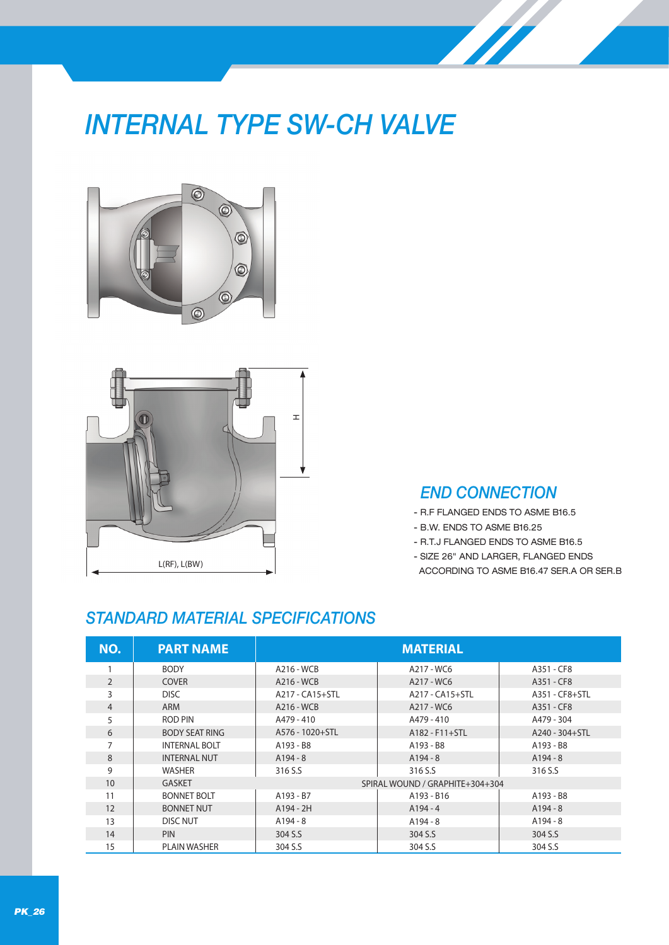# *INTERNAL TYPE SW-CH VALVE*





## *END CONNECTION*

- R.F FLANGED ENDS TO ASME B16.5
- B.W. ENDS TO ASME B16.25
- R.T.J FLANGED ENDS TO ASME B16.5
- SIZE 26" AND LARGER, FLANGED ENDS
- ACCORDING TO ASME B16.47 SER.A OR SER.B

# *STANDARD MATERIAL SPECIFICATIONS*

| NO.            | <b>PART NAME</b>      | <b>MATERIAL</b> |                                 |                |  |  |  |  |  |  |
|----------------|-----------------------|-----------------|---------------------------------|----------------|--|--|--|--|--|--|
|                | <b>BODY</b>           | A216 - WCB      | A217 - WC6                      | A351 - CF8     |  |  |  |  |  |  |
| $\overline{2}$ | <b>COVER</b>          | A216 - WCB      | A217 - WC6                      | A351 - CF8     |  |  |  |  |  |  |
| 3              | DISC.                 | A217 - CA15+STL | A217 - CA15+STL                 | A351 - CF8+STL |  |  |  |  |  |  |
| $\overline{4}$ | ARM                   | A216 - WCB      | A217 - WC6                      | A351 - CF8     |  |  |  |  |  |  |
| 5              | ROD PIN               | A479 - 410      | A479 - 410                      | A479 - 304     |  |  |  |  |  |  |
| 6              | <b>BODY SEAT RING</b> | A576 - 1020+STL | $A182 - F11 + STL$              | A240 - 304+STL |  |  |  |  |  |  |
|                | <b>INTERNAL BOLT</b>  | A193 - B8       | A193 - B8                       | A193 - B8      |  |  |  |  |  |  |
| 8              | <b>INTERNAL NUT</b>   | $A194 - 8$      | $A194 - 8$                      | $A194 - 8$     |  |  |  |  |  |  |
| 9              | <b>WASHER</b>         | 316 S.S         | 316 S.S                         | 316 S.S        |  |  |  |  |  |  |
| 10             | <b>GASKET</b>         |                 | SPIRAL WOUND / GRAPHITE+304+304 |                |  |  |  |  |  |  |
| 11             | <b>BONNET BOLT</b>    | A193 - B7       | A193 - B16                      | A193 - B8      |  |  |  |  |  |  |
| 12             | <b>BONNET NUT</b>     | A194 - 2H       | $A194 - 4$                      | $A194 - 8$     |  |  |  |  |  |  |
| 13             | DISC NUT              | $A194 - 8$      | $A194 - 8$                      | $A194 - 8$     |  |  |  |  |  |  |
| 14             | <b>PIN</b>            | 304 S.S         | 304 S.S                         | 304 S.S        |  |  |  |  |  |  |
| 15             | <b>PLAIN WASHER</b>   | 304 S.S         | 304 S.S                         | 304 S.S        |  |  |  |  |  |  |